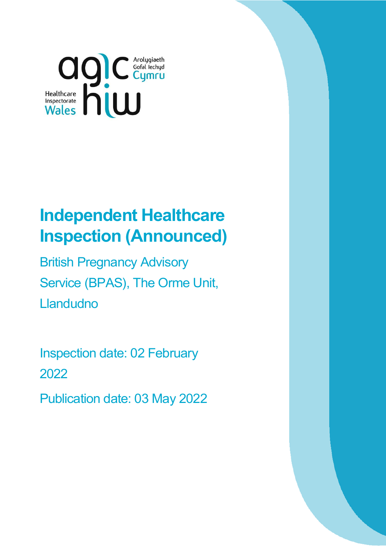

# **Independent Healthcare Inspection (Announced)**

British Pregnancy Advisory Service (BPAS), The Orme Unit, **Llandudno** 

Inspection date: 02 February 2022

Publication date: 03 May 2022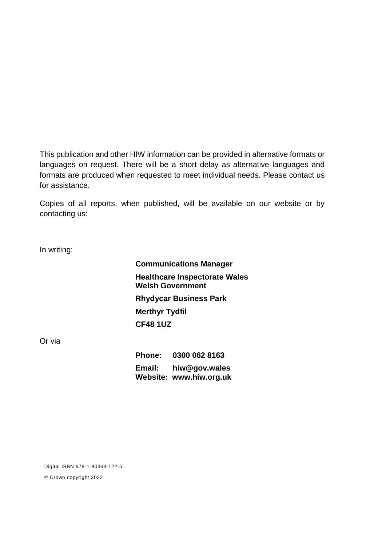This publication and other HIW information can be provided in alternative formats or languages on request. There will be a short delay as alternative languages and formats are produced when requested to meet individual needs. Please contact us for assistance.

Copies of all reports, when published, will be available on our website or by contacting us:

In writing:

**Communications Manager Healthcare Inspectorate Wales Welsh Government Rhydycar Business Park Merthyr Tydfil CF48 1UZ**

Or via

**Phone: 0300 062 8163 Email: [hiw@gov.wales](mailto:hiw@gov.wales) Website: [www.hiw.org.uk](http://www.hiw.org.uk/)**

Digital ISBN 978-1-80364-122-5

© Crown copyright 2022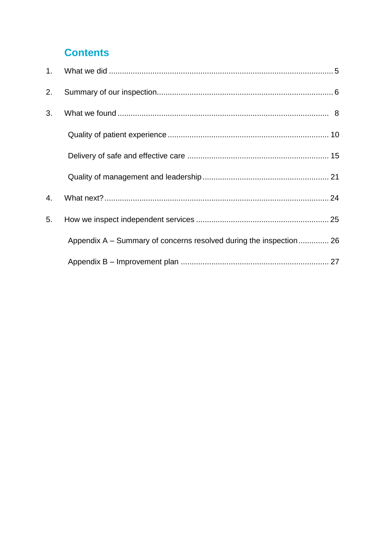### **Contents**

| 2. |                                                                    |  |
|----|--------------------------------------------------------------------|--|
| 3. |                                                                    |  |
|    |                                                                    |  |
|    |                                                                    |  |
|    |                                                                    |  |
| 4. |                                                                    |  |
| 5. |                                                                    |  |
|    | Appendix A – Summary of concerns resolved during the inspection 26 |  |
|    |                                                                    |  |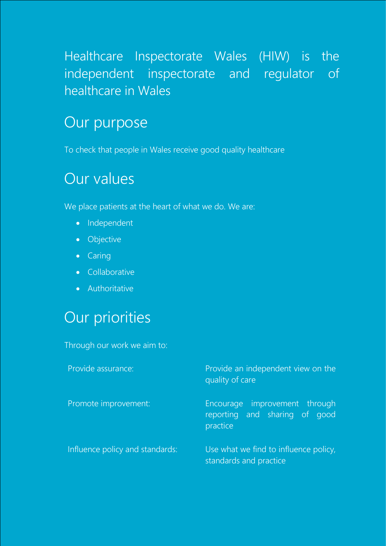## Healthcare Inspectorate Wales (HIW) is the independent inspectorate and regulator of healthcare in Wales

## Our purpose

To check that people in Wales receive good quality healthcare

## Our values

We place patients at the heart of what we do. We are:

- Independent
- **•** Objective
- Caring
- **•** Collaborative
- Authoritative

## Our priorities

Through our work we aim to:

| Provide assurance:              | Provide an independent view on the<br>quality of care                      |  |
|---------------------------------|----------------------------------------------------------------------------|--|
| Promote improvement:            | Encourage improvement through<br>reporting and sharing of good<br>practice |  |
| Influence policy and standards: | Use what we find to influence policy,<br>standards and practice            |  |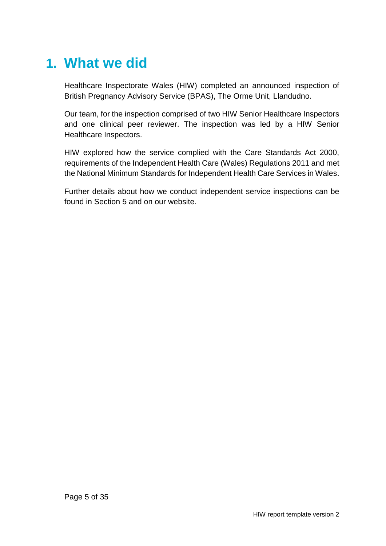## <span id="page-4-0"></span>**1. What we did**

Healthcare Inspectorate Wales (HIW) completed an announced inspection of British Pregnancy Advisory Service (BPAS), The Orme Unit, Llandudno.

Our team, for the inspection comprised of two HIW Senior Healthcare Inspectors and one clinical peer reviewer. The inspection was led by a HIW Senior Healthcare Inspectors.

HIW explored how the service complied with the Care Standards Act 2000, requirements of the Independent Health Care (Wales) Regulations 2011 and met the National Minimum Standards for Independent Health Care Services in Wales.

Further details about how we conduct independent service inspections can be found in Section 5 and on our website.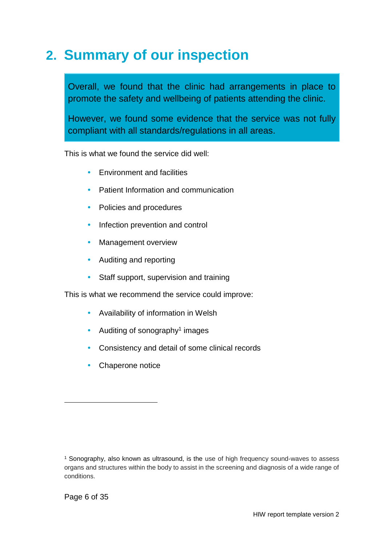## <span id="page-5-0"></span>**2. Summary of our inspection**

Overall, we found that the clinic had arrangements in place to promote the safety and wellbeing of patients attending the clinic.

However, we found some evidence that the service was not fully compliant with all standards/regulations in all areas.

This is what we found the service did well:

- Environment and facilities
- Patient Information and communication
- Policies and procedures
- Infection prevention and control
- Management overview
- Auditing and reporting
- Staff support, supervision and training

This is what we recommend the service could improve:

- Availability of information in Welsh
- Auditing of sonography<sup>1</sup> images
- Consistency and detail of some clinical records
- Chaperone notice

 $\overline{a}$ 

<sup>1</sup> Sonography, also known as ultrasound, is the use of high frequency sound-waves to assess organs and structures within the body to assist in the screening and diagnosis of a wide range of conditions.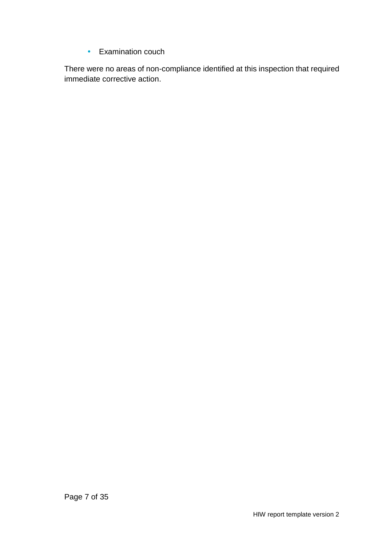<span id="page-6-0"></span>• Examination couch

There were no areas of non-compliance identified at this inspection that required immediate corrective action.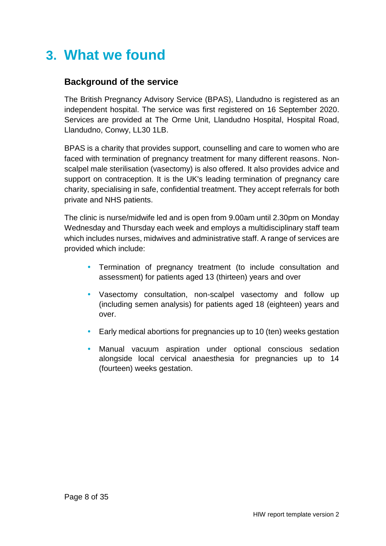## **3. What we found**

#### **Background of the service**

The British Pregnancy Advisory Service (BPAS), Llandudno is registered as an independent hospital. The service was first registered on 16 September 2020. Services are provided at The Orme Unit, Llandudno Hospital, Hospital Road, Llandudno, Conwy, LL30 1LB.

BPAS is a charity that provides support, counselling and care to women who are faced with termination of pregnancy treatment for many different reasons. Nonscalpel male sterilisation (vasectomy) is also offered. It also provides advice and support on contraception. It is the UK's leading termination of pregnancy care charity, specialising in safe, confidential treatment. They accept referrals for both private and NHS patients.

The clinic is nurse/midwife led and is open from 9.00am until 2.30pm on Monday Wednesday and Thursday each week and employs a multidisciplinary staff team which includes nurses, midwives and administrative staff. A range of services are provided which include:

- Termination of pregnancy treatment (to include consultation and assessment) for patients aged 13 (thirteen) years and over
- Vasectomy consultation, non-scalpel vasectomy and follow up (including semen analysis) for patients aged 18 (eighteen) years and over.
- Early medical abortions for pregnancies up to 10 (ten) weeks gestation
- Manual vacuum aspiration under optional conscious sedation alongside local cervical anaesthesia for pregnancies up to 14 (fourteen) weeks gestation.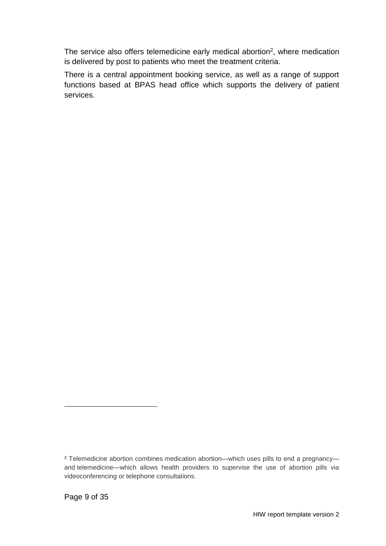The service also offers telemedicine early medical abortion<sup>2</sup>, where medication is delivered by post to patients who meet the treatment criteria.

There is a central appointment booking service, as well as a range of support functions based at BPAS head office which supports the delivery of patient services.

 $\overline{a}$ 

<sup>2</sup> Telemedicine abortion combines medication abortion—which uses pills to end a pregnancy and telemedicine—which allows health providers to supervise the use of abortion pills via videoconferencing or telephone consultations.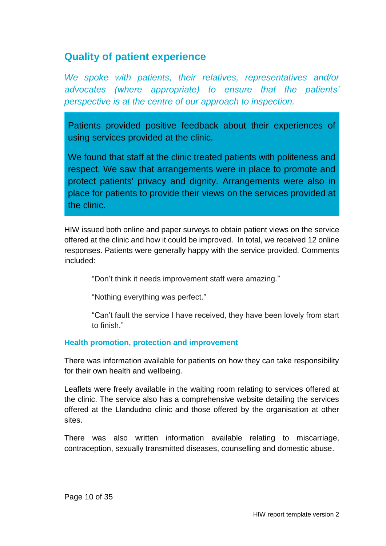### <span id="page-9-0"></span>**Quality of patient experience**

*We spoke with patients, their relatives, representatives and/or advocates (where appropriate) to ensure that the patients' perspective is at the centre of our approach to inspection.*

Patients provided positive feedback about their experiences of using services provided at the clinic.

We found that staff at the clinic treated patients with politeness and respect. We saw that arrangements were in place to promote and protect patients' privacy and dignity. Arrangements were also in place for patients to provide their views on the services provided at the clinic.

HIW issued both online and paper surveys to obtain patient views on the service offered at the clinic and how it could be improved. In total, we received 12 online responses. Patients were generally happy with the service provided. Comments included:

"Don't think it needs improvement staff were amazing."

"Nothing everything was perfect."

"Can't fault the service I have received, they have been lovely from start to finish."

#### **Health promotion, protection and improvement**

There was information available for patients on how they can take responsibility for their own health and wellbeing.

Leaflets were freely available in the waiting room relating to services offered at the clinic. The service also has a comprehensive website detailing the services offered at the Llandudno clinic and those offered by the organisation at other sites.

There was also written information available relating to miscarriage, contraception, sexually transmitted diseases, counselling and domestic abuse.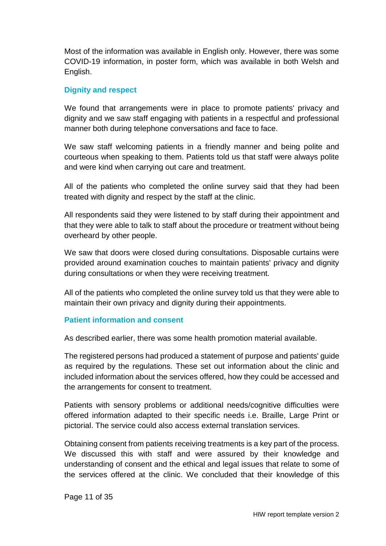Most of the information was available in English only. However, there was some COVID-19 information, in poster form, which was available in both Welsh and English.

#### **Dignity and respect**

We found that arrangements were in place to promote patients' privacy and dignity and we saw staff engaging with patients in a respectful and professional manner both during telephone conversations and face to face.

We saw staff welcoming patients in a friendly manner and being polite and courteous when speaking to them. Patients told us that staff were always polite and were kind when carrying out care and treatment.

All of the patients who completed the online survey said that they had been treated with dignity and respect by the staff at the clinic.

All respondents said they were listened to by staff during their appointment and that they were able to talk to staff about the procedure or treatment without being overheard by other people.

We saw that doors were closed during consultations. Disposable curtains were provided around examination couches to maintain patients' privacy and dignity during consultations or when they were receiving treatment.

All of the patients who completed the online survey told us that they were able to maintain their own privacy and dignity during their appointments.

#### **Patient information and consent**

As described earlier, there was some health promotion material available.

The registered persons had produced a statement of purpose and patients' guide as required by the regulations. These set out information about the clinic and included information about the services offered, how they could be accessed and the arrangements for consent to treatment.

Patients with sensory problems or additional needs/cognitive difficulties were offered information adapted to their specific needs i.e. Braille, Large Print or pictorial. The service could also access external translation services.

Obtaining consent from patients receiving treatments is a key part of the process. We discussed this with staff and were assured by their knowledge and understanding of consent and the ethical and legal issues that relate to some of the services offered at the clinic. We concluded that their knowledge of this

Page 11 of 35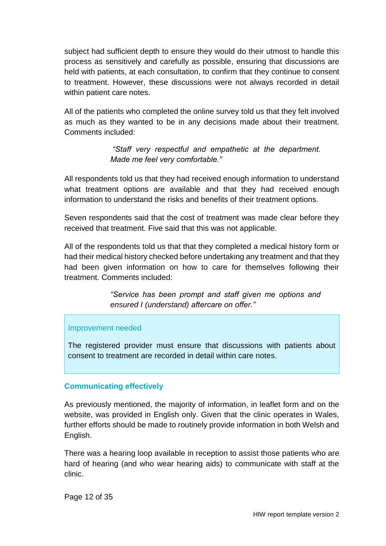subject had sufficient depth to ensure they would do their utmost to handle this process as sensitively and carefully as possible, ensuring that discussions are held with patients, at each consultation, to confirm that they continue to consent to treatment. However, these discussions were not always recorded in detail within patient care notes.

All of the patients who completed the online survey told us that they felt involved as much as they wanted to be in any decisions made about their treatment. Comments included:

> *"Staff very respectful and empathetic at the department. Made me feel very comfortable."*

All respondents told us that they had received enough information to understand what treatment options are available and that they had received enough information to understand the risks and benefits of their treatment options.

Seven respondents said that the cost of treatment was made clear before they received that treatment. Five said that this was not applicable.

All of the respondents told us that that they completed a medical history form or had their medical history checked before undertaking any treatment and that they had been given information on how to care for themselves following their treatment. Comments included:

> *"Service has been prompt and staff given me options and ensured I (understand) aftercare on offer."*

#### Improvement needed

The registered provider must ensure that discussions with patients about consent to treatment are recorded in detail within care notes.

#### **Communicating effectively**

As previously mentioned, the majority of information, in leaflet form and on the website, was provided in English only. Given that the clinic operates in Wales, further efforts should be made to routinely provide information in both Welsh and English.

There was a hearing loop available in reception to assist those patients who are hard of hearing (and who wear hearing aids) to communicate with staff at the clinic.

Page 12 of 35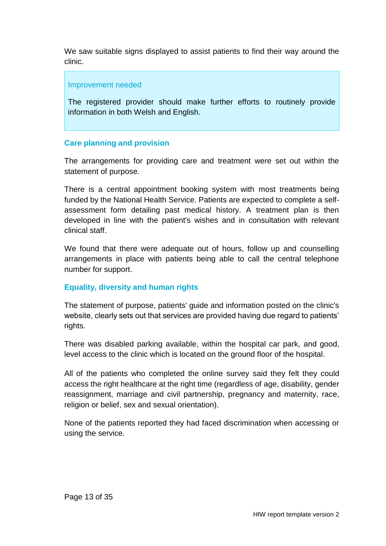We saw suitable signs displayed to assist patients to find their way around the clinic.

#### Improvement needed

The registered provider should make further efforts to routinely provide information in both Welsh and English.

#### **Care planning and provision**

The arrangements for providing care and treatment were set out within the statement of purpose.

There is a central appointment booking system with most treatments being funded by the National Health Service. Patients are expected to complete a selfassessment form detailing past medical history. A treatment plan is then developed in line with the patient's wishes and in consultation with relevant clinical staff.

We found that there were adequate out of hours, follow up and counselling arrangements in place with patients being able to call the central telephone number for support.

#### **Equality, diversity and human rights**

The statement of purpose, patients' guide and information posted on the clinic's website, clearly sets out that services are provided having due regard to patients' rights.

There was disabled parking available, within the hospital car park, and good, level access to the clinic which is located on the ground floor of the hospital.

All of the patients who completed the online survey said they felt they could access the right healthcare at the right time (regardless of age, disability, gender reassignment, marriage and civil partnership, pregnancy and maternity, race, religion or belief, sex and sexual orientation).

None of the patients reported they had faced discrimination when accessing or using the service.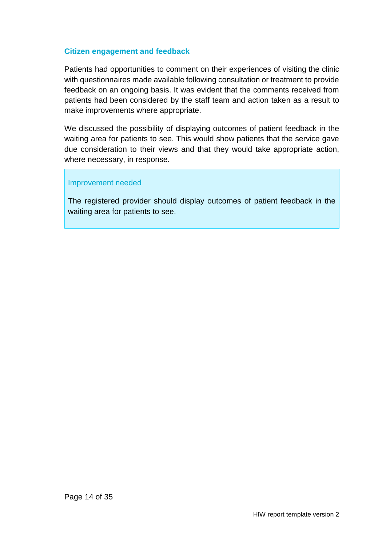#### **Citizen engagement and feedback**

Patients had opportunities to comment on their experiences of visiting the clinic with questionnaires made available following consultation or treatment to provide feedback on an ongoing basis. It was evident that the comments received from patients had been considered by the staff team and action taken as a result to make improvements where appropriate.

We discussed the possibility of displaying outcomes of patient feedback in the waiting area for patients to see. This would show patients that the service gave due consideration to their views and that they would take appropriate action, where necessary, in response.

#### Improvement needed

The registered provider should display outcomes of patient feedback in the waiting area for patients to see.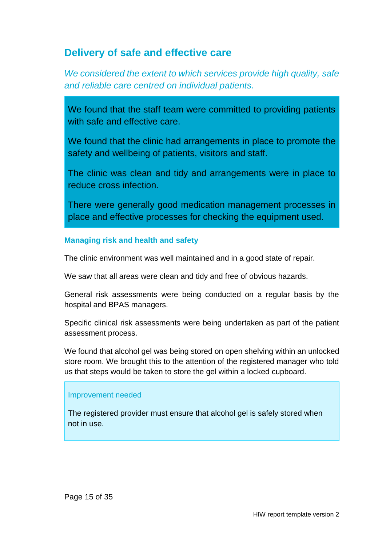### <span id="page-14-0"></span>**Delivery of safe and effective care**

*We considered the extent to which services provide high quality, safe and reliable care centred on individual patients.*

We found that the staff team were committed to providing patients with safe and effective care.

We found that the clinic had arrangements in place to promote the safety and wellbeing of patients, visitors and staff.

The clinic was clean and tidy and arrangements were in place to reduce cross infection.

There were generally good medication management processes in place and effective processes for checking the equipment used.

#### **Managing risk and health and safety**

The clinic environment was well maintained and in a good state of repair.

We saw that all areas were clean and tidy and free of obvious hazards.

General risk assessments were being conducted on a regular basis by the hospital and BPAS managers.

Specific clinical risk assessments were being undertaken as part of the patient assessment process.

We found that alcohol gel was being stored on open shelving within an unlocked store room. We brought this to the attention of the registered manager who told us that steps would be taken to store the gel within a locked cupboard.

#### Improvement needed

The registered provider must ensure that alcohol gel is safely stored when not in use.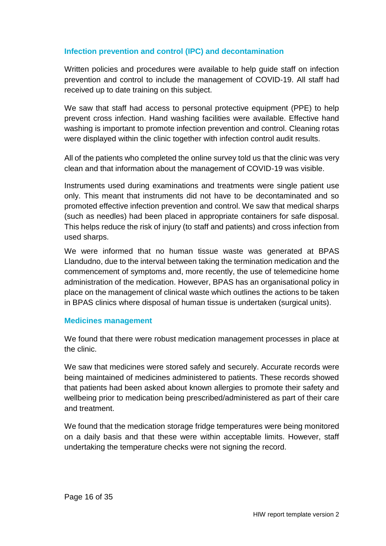#### **Infection prevention and control (IPC) and decontamination**

Written policies and procedures were available to help guide staff on infection prevention and control to include the management of COVID-19. All staff had received up to date training on this subject.

We saw that staff had access to personal protective equipment (PPE) to help prevent cross infection. Hand washing facilities were available. Effective hand washing is important to promote infection prevention and control. Cleaning rotas were displayed within the clinic together with infection control audit results.

All of the patients who completed the online survey told us that the clinic was very clean and that information about the management of COVID-19 was visible.

Instruments used during examinations and treatments were single patient use only. This meant that instruments did not have to be decontaminated and so promoted effective infection prevention and control. We saw that medical sharps (such as needles) had been placed in appropriate containers for safe disposal. This helps reduce the risk of injury (to staff and patients) and cross infection from used sharps.

We were informed that no human tissue waste was generated at BPAS Llandudno, due to the interval between taking the termination medication and the commencement of symptoms and, more recently, the use of telemedicine home administration of the medication. However, BPAS has an organisational policy in place on the management of clinical waste which outlines the actions to be taken in BPAS clinics where disposal of human tissue is undertaken (surgical units).

#### **Medicines management**

We found that there were robust medication management processes in place at the clinic.

We saw that medicines were stored safely and securely. Accurate records were being maintained of medicines administered to patients. These records showed that patients had been asked about known allergies to promote their safety and wellbeing prior to medication being prescribed/administered as part of their care and treatment.

We found that the medication storage fridge temperatures were being monitored on a daily basis and that these were within acceptable limits. However, staff undertaking the temperature checks were not signing the record.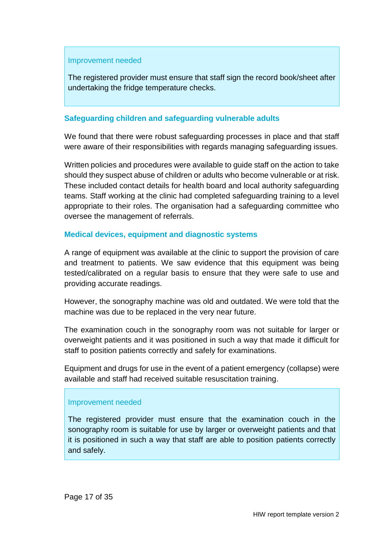#### Improvement needed

The registered provider must ensure that staff sign the record book/sheet after undertaking the fridge temperature checks.

#### **Safeguarding children and safeguarding vulnerable adults**

We found that there were robust safeguarding processes in place and that staff were aware of their responsibilities with regards managing safeguarding issues.

Written policies and procedures were available to guide staff on the action to take should they suspect abuse of children or adults who become vulnerable or at risk. These included contact details for health board and local authority safeguarding teams. Staff working at the clinic had completed safeguarding training to a level appropriate to their roles. The organisation had a safeguarding committee who oversee the management of referrals.

#### **Medical devices, equipment and diagnostic systems**

A range of equipment was available at the clinic to support the provision of care and treatment to patients. We saw evidence that this equipment was being tested/calibrated on a regular basis to ensure that they were safe to use and providing accurate readings.

However, the sonography machine was old and outdated. We were told that the machine was due to be replaced in the very near future.

The examination couch in the sonography room was not suitable for larger or overweight patients and it was positioned in such a way that made it difficult for staff to position patients correctly and safely for examinations.

Equipment and drugs for use in the event of a patient emergency (collapse) were available and staff had received suitable resuscitation training.

#### Improvement needed

The registered provider must ensure that the examination couch in the sonography room is suitable for use by larger or overweight patients and that it is positioned in such a way that staff are able to position patients correctly and safely.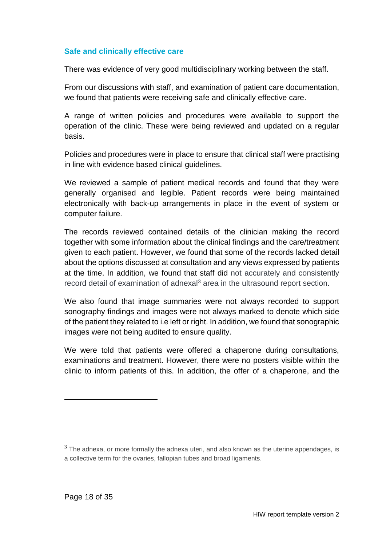#### **Safe and clinically effective care**

There was evidence of very good multidisciplinary working between the staff.

From our discussions with staff, and examination of patient care documentation, we found that patients were receiving safe and clinically effective care.

A range of written policies and procedures were available to support the operation of the clinic. These were being reviewed and updated on a regular basis.

Policies and procedures were in place to ensure that clinical staff were practising in line with evidence based clinical guidelines.

We reviewed a sample of patient medical records and found that they were generally organised and legible. Patient records were being maintained electronically with back-up arrangements in place in the event of system or computer failure.

The records reviewed contained details of the clinician making the record together with some information about the clinical findings and the care/treatment given to each patient. However, we found that some of the records lacked detail about the options discussed at consultation and any views expressed by patients at the time. In addition, we found that staff did not accurately and consistently record detail of examination of adnexal $3$  area in the ultrasound report section.

We also found that image summaries were not always recorded to support sonography findings and images were not always marked to denote which side of the patient they related to i.e left or right. In addition, we found that sonographic images were not being audited to ensure quality.

We were told that patients were offered a chaperone during consultations, examinations and treatment. However, there were no posters visible within the clinic to inform patients of this. In addition, the offer of a chaperone, and the

l

 $3$  The adnexa, or more formally the adnexa uteri, and also known as the uterine appendages, is a collective term for the ovaries, fallopian tubes and broad ligaments.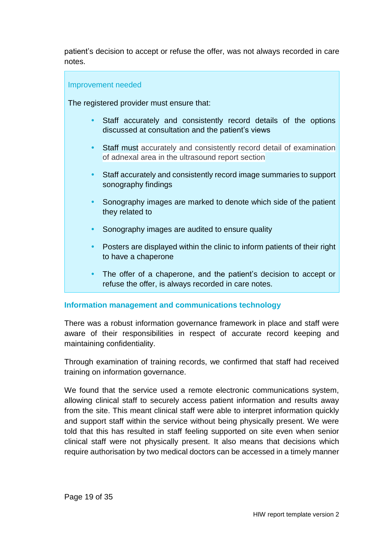patient's decision to accept or refuse the offer, was not always recorded in care notes.

#### Improvement needed

The registered provider must ensure that:

- Staff accurately and consistently record details of the options discussed at consultation and the patient's views
- Staff must accurately and consistently record detail of examination of adnexal area in the ultrasound report section
- Staff accurately and consistently record image summaries to support sonography findings
- Sonography images are marked to denote which side of the patient they related to
- Sonography images are audited to ensure quality
- Posters are displayed within the clinic to inform patients of their right to have a chaperone
- The offer of a chaperone, and the patient's decision to accept or refuse the offer, is always recorded in care notes.

#### **Information management and communications technology**

There was a robust information governance framework in place and staff were aware of their responsibilities in respect of accurate record keeping and maintaining confidentiality.

Through examination of training records, we confirmed that staff had received training on information governance.

We found that the service used a remote electronic communications system, allowing clinical staff to securely access patient information and results away from the site. This meant clinical staff were able to interpret information quickly and support staff within the service without being physically present. We were told that this has resulted in staff feeling supported on site even when senior clinical staff were not physically present. It also means that decisions which require authorisation by two medical doctors can be accessed in a timely manner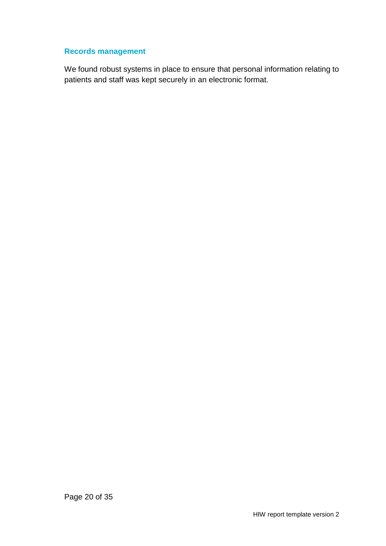#### **Records management**

We found robust systems in place to ensure that personal information relating to patients and staff was kept securely in an electronic format.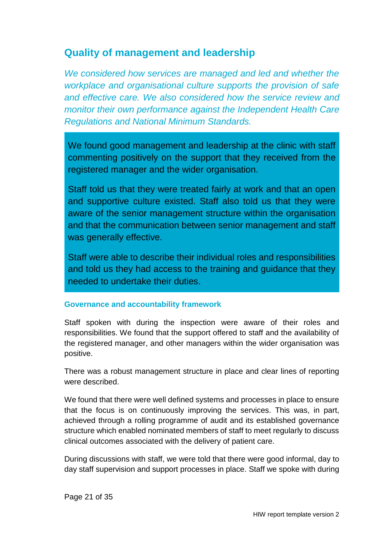### <span id="page-20-0"></span>**Quality of management and leadership**

*We considered how services are managed and led and whether the workplace and organisational culture supports the provision of safe and effective care. We also considered how the service review and monitor their own performance against the Independent Health Care Regulations and National Minimum Standards.*

We found good management and leadership at the clinic with staff commenting positively on the support that they received from the registered manager and the wider organisation.

Staff told us that they were treated fairly at work and that an open and supportive culture existed. Staff also told us that they were aware of the senior management structure within the organisation and that the communication between senior management and staff was generally effective.

Staff were able to describe their individual roles and responsibilities and told us they had access to the training and guidance that they needed to undertake their duties.

#### **Governance and accountability framework**

Staff spoken with during the inspection were aware of their roles and responsibilities. We found that the support offered to staff and the availability of the registered manager, and other managers within the wider organisation was positive.

There was a robust management structure in place and clear lines of reporting were described.

We found that there were well defined systems and processes in place to ensure that the focus is on continuously improving the services. This was, in part, achieved through a rolling programme of audit and its established governance structure which enabled nominated members of staff to meet regularly to discuss clinical outcomes associated with the delivery of patient care.

During discussions with staff, we were told that there were good informal, day to day staff supervision and support processes in place. Staff we spoke with during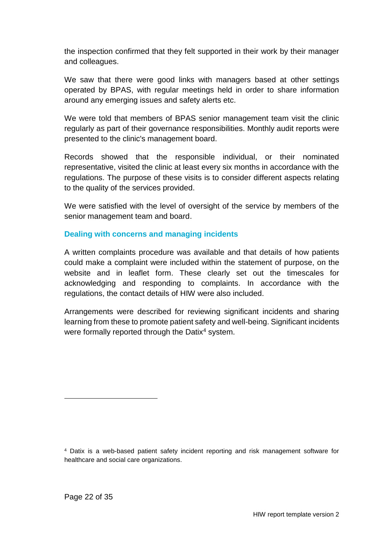the inspection confirmed that they felt supported in their work by their manager and colleagues.

We saw that there were good links with managers based at other settings operated by BPAS, with regular meetings held in order to share information around any emerging issues and safety alerts etc.

We were told that members of BPAS senior management team visit the clinic regularly as part of their governance responsibilities. Monthly audit reports were presented to the clinic's management board.

Records showed that the responsible individual, or their nominated representative, visited the clinic at least every six months in accordance with the regulations. The purpose of these visits is to consider different aspects relating to the quality of the services provided.

We were satisfied with the level of oversight of the service by members of the senior management team and board.

#### **Dealing with concerns and managing incidents**

A written complaints procedure was available and that details of how patients could make a complaint were included within the statement of purpose, on the website and in leaflet form. These clearly set out the timescales for acknowledging and responding to complaints. In accordance with the regulations, the contact details of HIW were also included.

Arrangements were described for reviewing significant incidents and sharing learning from these to promote patient safety and well-being. Significant incidents were formally reported through the Datix<sup>4</sup> system.

 $\overline{a}$ 

<sup>4</sup> Datix is a web-based patient safety incident reporting and risk management software for healthcare and social care organizations.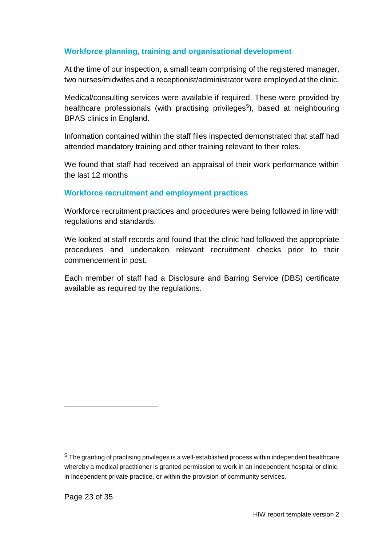#### **Workforce planning, training and organisational development**

At the time of our inspection, a small team comprising of the registered manager, two nurses/midwifes and a receptionist/administrator were employed at the clinic.

Medical/consulting services were available if required. These were provided by healthcare professionals (with practising privileges<sup>5</sup>), based at neighbouring BPAS clinics in England.

Information contained within the staff files inspected demonstrated that staff had attended mandatory training and other training relevant to their roles.

We found that staff had received an appraisal of their work performance within the last 12 months

#### **Workforce recruitment and employment practices**

Workforce recruitment practices and procedures were being followed in line with regulations and standards.

We looked at staff records and found that the clinic had followed the appropriate procedures and undertaken relevant recruitment checks prior to their commencement in post.

Each member of staff had a Disclosure and Barring Service (DBS) certificate available as required by the regulations.

l

 $5$  The granting of practising privileges is a well-established process within independent healthcare whereby a medical practitioner is granted permission to work in an independent hospital or clinic, in independent private practice, or within the provision of community services.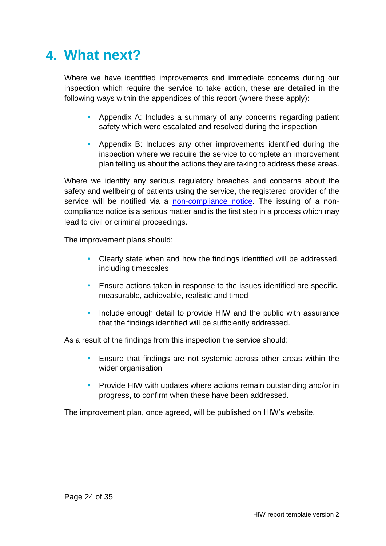## <span id="page-23-0"></span>**4. What next?**

Where we have identified improvements and immediate concerns during our inspection which require the service to take action, these are detailed in the following ways within the appendices of this report (where these apply):

- Appendix A: Includes a summary of any concerns regarding patient safety which were escalated and resolved during the inspection
- Appendix B: Includes any other improvements identified during the inspection where we require the service to complete an improvement plan telling us about the actions they are taking to address these areas.

Where we identify any serious regulatory breaches and concerns about the safety and wellbeing of patients using the service, the registered provider of the service will be notified via a [non-compliance notice.](https://hiw.org.uk/enforcement-and-non-compliance) The issuing of a noncompliance notice is a serious matter and is the first step in a process which may lead to civil or criminal proceedings.

The improvement plans should:

- Clearly state when and how the findings identified will be addressed, including timescales
- Ensure actions taken in response to the issues identified are specific, measurable, achievable, realistic and timed
- Include enough detail to provide HIW and the public with assurance that the findings identified will be sufficiently addressed.

As a result of the findings from this inspection the service should:

- Ensure that findings are not systemic across other areas within the wider organisation
- Provide HIW with updates where actions remain outstanding and/or in progress, to confirm when these have been addressed.

The improvement plan, once agreed, will be published on HIW's website.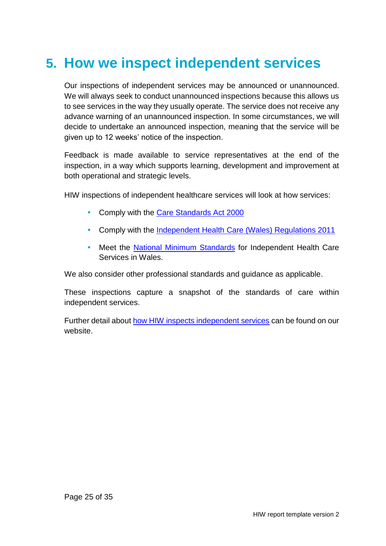## <span id="page-24-0"></span>**5. How we inspect independent services**

Our inspections of independent services may be announced or unannounced. We will always seek to conduct unannounced inspections because this allows us to see services in the way they usually operate. The service does not receive any advance warning of an unannounced inspection. In some circumstances, we will decide to undertake an announced inspection, meaning that the service will be given up to 12 weeks' notice of the inspection.

Feedback is made available to service representatives at the end of the inspection, in a way which supports learning, development and improvement at both operational and strategic levels.

HIW inspections of independent healthcare services will look at how services:

- Comply with the [Care Standards Act 2000](http://www.legislation.gov.uk/ukpga/2000/14/contents)
- Comply with the Independent Health [Care \(Wales\) Regulations 2011](http://www.legislation.gov.uk/wsi/2011/734/contents/made)
- Meet the [National Minimum Standards](https://gov.wales/sites/default/files/publications/2019-07/the-national-minimum-standards-for-independent-health-care-services-in-wales-2011-no-16.pdf) for Independent Health Care Services in Wales.

We also consider other professional standards and guidance as applicable.

These inspections capture a snapshot of the standards of care within independent services.

Further detail about [how HIW inspects independent services](https://hiw.org.uk/sites/default/files/2019-06/170328inspectindependenten.pdf) can be found on our website.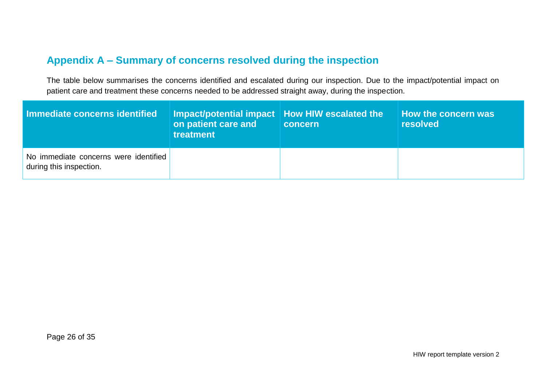### **Appendix A – Summary of concerns resolved during the inspection**

The table below summarises the concerns identified and escalated during our inspection. Due to the impact/potential impact on patient care and treatment these concerns needed to be addressed straight away, during the inspection.

<span id="page-25-0"></span>

| Immediate concerns identified                                    | Impact/potential impact   How HIW escalated the 1<br>on patient care and<br>treatment | concern | How the concern was<br><b>resolved</b> |
|------------------------------------------------------------------|---------------------------------------------------------------------------------------|---------|----------------------------------------|
| No immediate concerns were identified<br>during this inspection. |                                                                                       |         |                                        |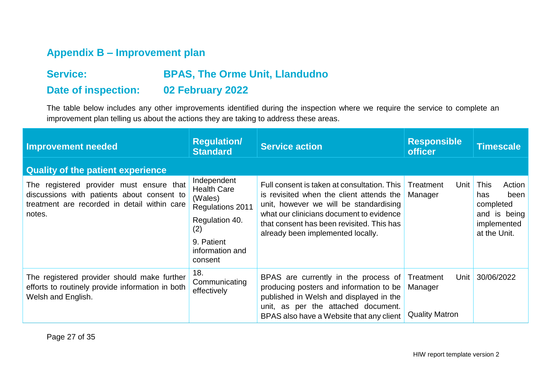### **Appendix B – Improvement plan**

### **Service: BPAS, The Orme Unit, Llandudno Date of inspection: 02 February 2022**

The table below includes any other improvements identified during the inspection where we require the service to complete an improvement plan telling us about the actions they are taking to address these areas.

<span id="page-26-0"></span>

| <b>Improvement needed</b>                                                                                                                        | <b>Regulation/</b><br><b>Standard</b>                                                                                                 | <b>Service action</b>                                                                                                                                                                                                                                           | <b>Responsible</b><br><b>officer</b>                  | <b>Timescale</b>                                                                                 |
|--------------------------------------------------------------------------------------------------------------------------------------------------|---------------------------------------------------------------------------------------------------------------------------------------|-----------------------------------------------------------------------------------------------------------------------------------------------------------------------------------------------------------------------------------------------------------------|-------------------------------------------------------|--------------------------------------------------------------------------------------------------|
| <b>Quality of the patient experience</b>                                                                                                         |                                                                                                                                       |                                                                                                                                                                                                                                                                 |                                                       |                                                                                                  |
| The registered provider must ensure that<br>discussions with patients about consent to<br>treatment are recorded in detail within care<br>notes. | Independent<br><b>Health Care</b><br>(Wales)<br>Regulations 2011<br>Regulation 40.<br>(2)<br>9. Patient<br>information and<br>consent | Full consent is taken at consultation. This<br>is revisited when the client attends the<br>unit, however we will be standardising<br>what our clinicians document to evidence<br>that consent has been revisited. This has<br>already been implemented locally. | Treatment<br>Unit<br>Manager                          | <b>This</b><br>Action<br>been<br>has<br>completed<br>and is being<br>implemented<br>at the Unit. |
| The registered provider should make further<br>efforts to routinely provide information in both<br>Welsh and English.                            | 18.<br>Communicating<br>effectively                                                                                                   | BPAS are currently in the process of<br>producing posters and information to be<br>published in Welsh and displayed in the<br>unit, as per the attached document.<br>BPAS also have a Website that any client                                                   | Treatment<br>Unit<br>Manager<br><b>Quality Matron</b> | 30/06/2022                                                                                       |

Page 27 of 35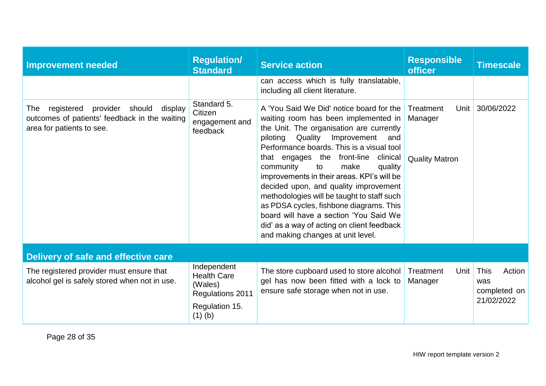| <b>Improvement needed</b>                                                                                                        | <b>Regulation/</b><br><b>Standard</b>                                                           | <b>Service action</b>                                                                                                                                                                                                                                                                                                                                                                                                                                                                                                                                                                                                | <b>Responsible</b><br><b>officer</b>                  | <b>Timescale</b>                                           |
|----------------------------------------------------------------------------------------------------------------------------------|-------------------------------------------------------------------------------------------------|----------------------------------------------------------------------------------------------------------------------------------------------------------------------------------------------------------------------------------------------------------------------------------------------------------------------------------------------------------------------------------------------------------------------------------------------------------------------------------------------------------------------------------------------------------------------------------------------------------------------|-------------------------------------------------------|------------------------------------------------------------|
|                                                                                                                                  |                                                                                                 | can access which is fully translatable,<br>including all client literature.                                                                                                                                                                                                                                                                                                                                                                                                                                                                                                                                          |                                                       |                                                            |
| provider<br>should<br>registered<br>display<br>The<br>outcomes of patients' feedback in the waiting<br>area for patients to see. | Standard 5.<br>Citizen<br>engagement and<br>feedback                                            | A 'You Said We Did' notice board for the<br>waiting room has been implemented in<br>the Unit. The organisation are currently<br>Quality<br>Improvement<br>piloting<br>and<br>Performance boards. This is a visual tool<br>that engages the front-line<br>clinical<br>community<br>make<br>to<br>quality<br>improvements in their areas. KPI's will be<br>decided upon, and quality improvement<br>methodologies will be taught to staff such<br>as PDSA cycles, fishbone diagrams. This<br>board will have a section 'You Said We<br>did' as a way of acting on client feedback<br>and making changes at unit level. | Treatment<br>Unit<br>Manager<br><b>Quality Matron</b> | 30/06/2022                                                 |
| <b>Delivery of safe and effective care</b>                                                                                       |                                                                                                 |                                                                                                                                                                                                                                                                                                                                                                                                                                                                                                                                                                                                                      |                                                       |                                                            |
| The registered provider must ensure that<br>alcohol gel is safely stored when not in use.                                        | Independent<br><b>Health Care</b><br>(Wales)<br>Regulations 2011<br>Regulation 15.<br>$(1)$ (b) | The store cupboard used to store alcohol<br>gel has now been fitted with a lock to<br>ensure safe storage when not in use.                                                                                                                                                                                                                                                                                                                                                                                                                                                                                           | Treatment<br>Unit<br>Manager                          | <b>This</b><br>Action<br>was<br>completed on<br>21/02/2022 |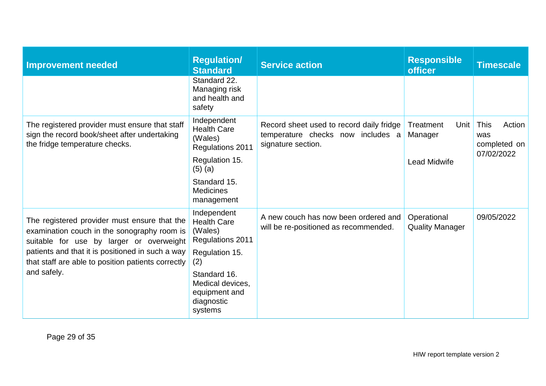| <b>Improvement needed</b>                                                                                                               | <b>Regulation/</b><br><b>Standard</b>                                      | <b>Service action</b>                                                                               | <b>Responsible</b><br><b>officer</b>  | <b>Timescale</b>                                           |
|-----------------------------------------------------------------------------------------------------------------------------------------|----------------------------------------------------------------------------|-----------------------------------------------------------------------------------------------------|---------------------------------------|------------------------------------------------------------|
|                                                                                                                                         | Standard 22.<br>Managing risk<br>and health and<br>safety                  |                                                                                                     |                                       |                                                            |
| The registered provider must ensure that staff<br>sign the record book/sheet after undertaking<br>the fridge temperature checks.        | Independent<br><b>Health Care</b><br>(Wales)<br>Regulations 2011           | Record sheet used to record daily fridge<br>temperature checks now includes a<br>signature section. | Treatment<br>Unit<br>Manager          | <b>This</b><br>Action<br>was<br>completed on<br>07/02/2022 |
|                                                                                                                                         | Regulation 15.<br>$(5)$ (a)                                                |                                                                                                     | <b>Lead Midwife</b>                   |                                                            |
|                                                                                                                                         | Standard 15.<br><b>Medicines</b><br>management                             |                                                                                                     |                                       |                                                            |
| The registered provider must ensure that the<br>examination couch in the sonography room is<br>suitable for use by larger or overweight | Independent<br><b>Health Care</b><br>(Wales)<br>Regulations 2011           | A new couch has now been ordered and<br>will be re-positioned as recommended.                       | Operational<br><b>Quality Manager</b> | 09/05/2022                                                 |
| patients and that it is positioned in such a way<br>that staff are able to position patients correctly                                  | Regulation 15.<br>(2)                                                      |                                                                                                     |                                       |                                                            |
| and safely.                                                                                                                             | Standard 16.<br>Medical devices,<br>equipment and<br>diagnostic<br>systems |                                                                                                     |                                       |                                                            |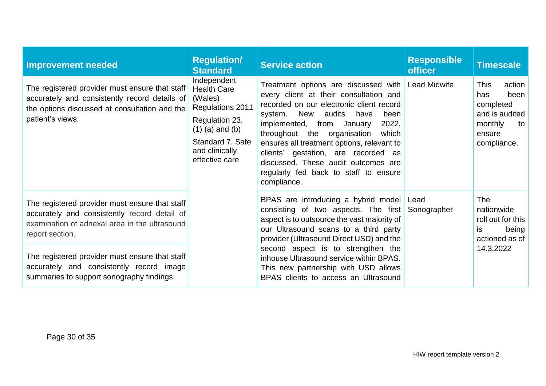| <b>Improvement needed</b>                                                                                                                                            | <b>Regulation/</b><br><b>Standard</b>                                                                                                                           | <b>Service action</b>                                                                                                                                                                                                                                                                                                                                                                                                                                    | <b>Responsible</b><br><b>officer</b>                                                                                                                          | <b>Timescale</b>                                                                                              |           |  |                                                                                                                                                                                                                      |             |                                                                                 |
|----------------------------------------------------------------------------------------------------------------------------------------------------------------------|-----------------------------------------------------------------------------------------------------------------------------------------------------------------|----------------------------------------------------------------------------------------------------------------------------------------------------------------------------------------------------------------------------------------------------------------------------------------------------------------------------------------------------------------------------------------------------------------------------------------------------------|---------------------------------------------------------------------------------------------------------------------------------------------------------------|---------------------------------------------------------------------------------------------------------------|-----------|--|----------------------------------------------------------------------------------------------------------------------------------------------------------------------------------------------------------------------|-------------|---------------------------------------------------------------------------------|
| The registered provider must ensure that staff<br>accurately and consistently record details of<br>the options discussed at consultation and the<br>patient's views. | Independent<br><b>Health Care</b><br>(Wales)<br>Regulations 2011<br>Regulation 23.<br>$(1)$ (a) and (b)<br>Standard 7, Safe<br>and clinically<br>effective care | Treatment options are discussed with Lead Midwife<br>every client at their consultation and<br>recorded on our electronic client record<br>New<br>audits<br>system.<br>have<br>been<br>implemented, from<br>2022,<br>January<br>throughout the organisation<br>which<br>ensures all treatment options, relevant to<br>clients' gestation, are recorded as<br>discussed. These audit outcomes are<br>regularly fed back to staff to ensure<br>compliance. |                                                                                                                                                               | action<br><b>This</b><br>has<br>been<br>completed<br>and is audited<br>monthly<br>to<br>ensure<br>compliance. |           |  |                                                                                                                                                                                                                      |             |                                                                                 |
| The registered provider must ensure that staff<br>accurately and consistently record detail of<br>examination of adnexal area in the ultrasound<br>report section.   |                                                                                                                                                                 |                                                                                                                                                                                                                                                                                                                                                                                                                                                          |                                                                                                                                                               |                                                                                                               |           |  | BPAS are introducing a hybrid model Lead<br>consisting of two aspects. The first<br>aspect is to outsource the vast majority of<br>our Ultrasound scans to a third party<br>provider (Ultrasound Direct USD) and the | Sonographer | <b>The</b><br>nationwide<br>roll out for this<br>being<br>is.<br>actioned as of |
| The registered provider must ensure that staff<br>accurately and consistently record image<br>summaries to support sonography findings.                              |                                                                                                                                                                 |                                                                                                                                                                                                                                                                                                                                                                                                                                                          | second aspect is to strengthen the<br>inhouse Ultrasound service within BPAS.<br>This new partnership with USD allows<br>BPAS clients to access an Ultrasound |                                                                                                               | 14.3.2022 |  |                                                                                                                                                                                                                      |             |                                                                                 |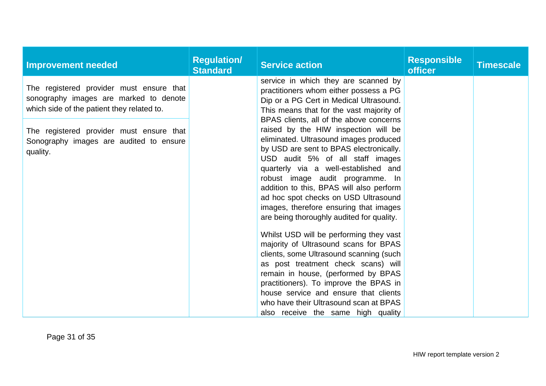| <b>Improvement needed</b>                                                                                                        | <b>Regulation/</b><br><b>Standard</b> | <b>Service action</b>                                                                                                                                                                                                                                                                                                                                                                                                                                                                                                                                                                                                                                                                                                                                                                                                                           | <b>Responsible</b><br><b>officer</b> | <b>Timescale</b> |
|----------------------------------------------------------------------------------------------------------------------------------|---------------------------------------|-------------------------------------------------------------------------------------------------------------------------------------------------------------------------------------------------------------------------------------------------------------------------------------------------------------------------------------------------------------------------------------------------------------------------------------------------------------------------------------------------------------------------------------------------------------------------------------------------------------------------------------------------------------------------------------------------------------------------------------------------------------------------------------------------------------------------------------------------|--------------------------------------|------------------|
| The registered provider must ensure that<br>sonography images are marked to denote<br>which side of the patient they related to. |                                       | service in which they are scanned by<br>practitioners whom either possess a PG<br>Dip or a PG Cert in Medical Ultrasound.<br>This means that for the vast majority of                                                                                                                                                                                                                                                                                                                                                                                                                                                                                                                                                                                                                                                                           |                                      |                  |
| The registered provider must ensure that<br>Sonography images are audited to ensure<br>quality.                                  |                                       | BPAS clients, all of the above concerns<br>raised by the HIW inspection will be<br>eliminated. Ultrasound images produced<br>by USD are sent to BPAS electronically.<br>USD audit 5% of all staff images<br>quarterly via a well-established and<br>robust image audit programme. In<br>addition to this, BPAS will also perform<br>ad hoc spot checks on USD Ultrasound<br>images, therefore ensuring that images<br>are being thoroughly audited for quality.<br>Whilst USD will be performing they vast<br>majority of Ultrasound scans for BPAS<br>clients, some Ultrasound scanning (such<br>as post treatment check scans) will<br>remain in house, (performed by BPAS<br>practitioners). To improve the BPAS in<br>house service and ensure that clients<br>who have their Ultrasound scan at BPAS<br>also receive the same high quality |                                      |                  |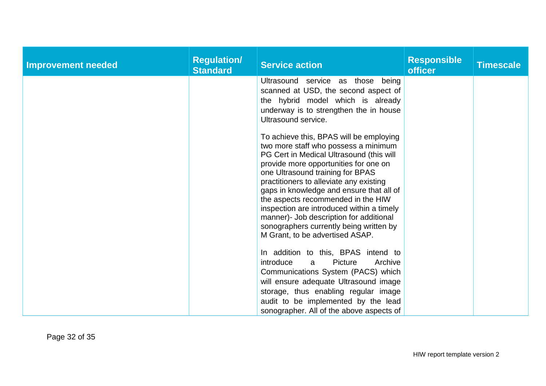| <b>Improvement needed</b> | <b>Regulation/</b><br><b>Standard</b> | <b>Service action</b>                                                                                                                                                                                                                                                                                                                                                                                                                                                                                       | <b>Responsible</b><br>officer | <b>Timescale</b> |
|---------------------------|---------------------------------------|-------------------------------------------------------------------------------------------------------------------------------------------------------------------------------------------------------------------------------------------------------------------------------------------------------------------------------------------------------------------------------------------------------------------------------------------------------------------------------------------------------------|-------------------------------|------------------|
|                           |                                       | Ultrasound service as those being<br>scanned at USD, the second aspect of<br>the hybrid model which is already<br>underway is to strengthen the in house<br>Ultrasound service.                                                                                                                                                                                                                                                                                                                             |                               |                  |
|                           |                                       | To achieve this, BPAS will be employing<br>two more staff who possess a minimum<br>PG Cert in Medical Ultrasound (this will<br>provide more opportunities for one on<br>one Ultrasound training for BPAS<br>practitioners to alleviate any existing<br>gaps in knowledge and ensure that all of<br>the aspects recommended in the HIW<br>inspection are introduced within a timely<br>manner)- Job description for additional<br>sonographers currently being written by<br>M Grant, to be advertised ASAP. |                               |                  |
|                           |                                       | In addition to this, BPAS intend to<br>introduce<br>Picture<br>Archive<br>a<br>Communications System (PACS) which<br>will ensure adequate Ultrasound image<br>storage, thus enabling regular image<br>audit to be implemented by the lead<br>sonographer. All of the above aspects of                                                                                                                                                                                                                       |                               |                  |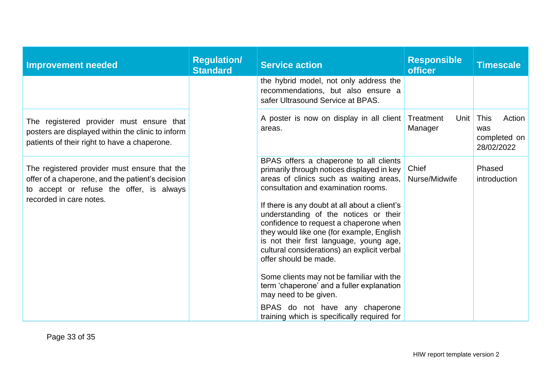| <b>Improvement needed</b>                                                                                                                                               | <b>Regulation/</b><br><b>Standard</b> | <b>Service action</b>                                                                                                                                                                                                                                                                                                                                                                                                                                                                                                                                                                                                           | <b>Responsible</b><br><b>officer</b> | <b>Timescale</b>                                    |
|-------------------------------------------------------------------------------------------------------------------------------------------------------------------------|---------------------------------------|---------------------------------------------------------------------------------------------------------------------------------------------------------------------------------------------------------------------------------------------------------------------------------------------------------------------------------------------------------------------------------------------------------------------------------------------------------------------------------------------------------------------------------------------------------------------------------------------------------------------------------|--------------------------------------|-----------------------------------------------------|
|                                                                                                                                                                         |                                       | the hybrid model, not only address the<br>recommendations, but also ensure a<br>safer Ultrasound Service at BPAS.                                                                                                                                                                                                                                                                                                                                                                                                                                                                                                               |                                      |                                                     |
| The registered provider must ensure that<br>posters are displayed within the clinic to inform<br>patients of their right to have a chaperone.                           |                                       | A poster is now on display in all client<br>areas.                                                                                                                                                                                                                                                                                                                                                                                                                                                                                                                                                                              | Treatment<br>Unit<br>Manager         | This<br>Action<br>was<br>completed on<br>28/02/2022 |
| The registered provider must ensure that the<br>offer of a chaperone, and the patient's decision<br>to accept or refuse the offer, is always<br>recorded in care notes. |                                       | BPAS offers a chaperone to all clients<br>primarily through notices displayed in key<br>areas of clinics such as waiting areas,<br>consultation and examination rooms.<br>If there is any doubt at all about a client's<br>understanding of the notices or their<br>confidence to request a chaperone when<br>they would like one (for example, English<br>is not their first language, young age,<br>cultural considerations) an explicit verbal<br>offer should be made.<br>Some clients may not be familiar with the<br>term 'chaperone' and a fuller explanation<br>may need to be given.<br>BPAS do not have any chaperone | Chief<br>Nurse/Midwife               | Phased<br>introduction                              |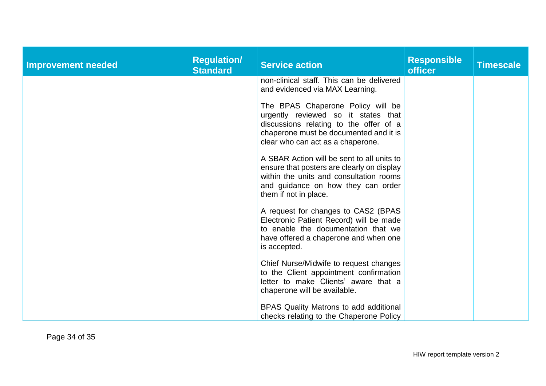| <b>Improvement needed</b> | <b>Regulation/</b><br><b>Standard</b> | <b>Service action</b>                                                                                                                                                                              | <b>Responsible</b><br><b>officer</b> | <b>Timescale</b> |
|---------------------------|---------------------------------------|----------------------------------------------------------------------------------------------------------------------------------------------------------------------------------------------------|--------------------------------------|------------------|
|                           |                                       | non-clinical staff. This can be delivered<br>and evidenced via MAX Learning.                                                                                                                       |                                      |                  |
|                           |                                       | The BPAS Chaperone Policy will be<br>urgently reviewed so it states that<br>discussions relating to the offer of a<br>chaperone must be documented and it is<br>clear who can act as a chaperone.  |                                      |                  |
|                           |                                       | A SBAR Action will be sent to all units to<br>ensure that posters are clearly on display<br>within the units and consultation rooms<br>and guidance on how they can order<br>them if not in place. |                                      |                  |
|                           |                                       | A request for changes to CAS2 (BPAS<br>Electronic Patient Record) will be made<br>to enable the documentation that we<br>have offered a chaperone and when one<br>is accepted.                     |                                      |                  |
|                           |                                       | Chief Nurse/Midwife to request changes<br>to the Client appointment confirmation<br>letter to make Clients' aware that a<br>chaperone will be available.                                           |                                      |                  |
|                           |                                       | BPAS Quality Matrons to add additional<br>checks relating to the Chaperone Policy                                                                                                                  |                                      |                  |